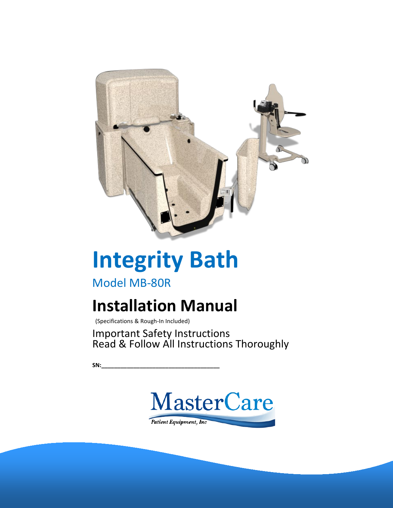

# **Integrity Bath**

Model MB-80R

## **Installation Manual**

(Specifications & Rough-In Included)

Important Safety Instructions Read & Follow All Instructions Thoroughly

**SN:\_\_\_\_\_\_\_\_\_\_\_\_\_\_\_\_\_\_\_\_\_\_\_\_\_\_\_\_\_\_\_\_\_\_\_\_\_**

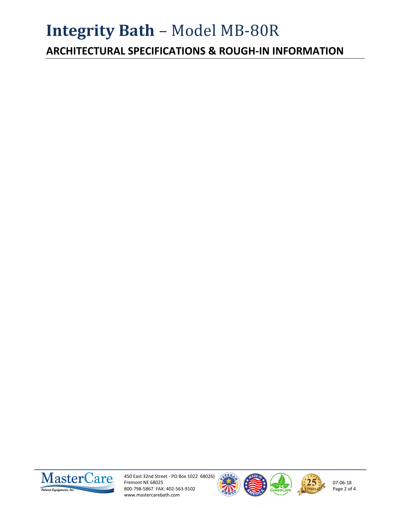## **Integrity Bath** – Model MB-80R

**ARCHITECTURAL SPECIFICATIONS & ROUGH-IN INFORMATION**



450 East 32nd Street - PO Box 1022 68026) Fremont NE 68025 800-798-5867 FAX: 402-563-9102 www.mastercarebath.com







07-06-18 Page 2 of 4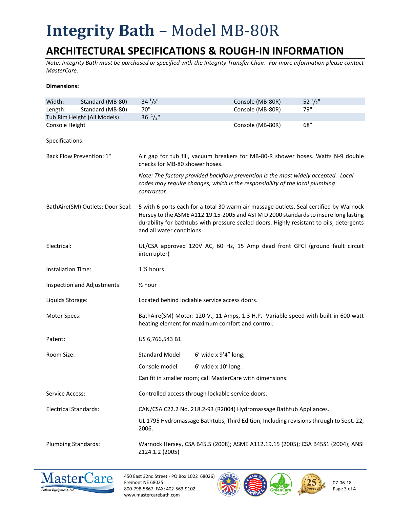## **Integrity Bath** – Model MB-80R

### **ARCHITECTURAL SPECIFICATIONS & ROUGH-IN INFORMATION**

*Note: Integrity Bath must be purchased or specified with the Integrity Transfer Chair. For more information please contact MasterCare.*

#### **Dimensions:**

| Width:                           | Standard (MB-80)            | $34^{1}/2$ "                                                                                                                                                                                                                                                                                           | Console (MB-80R)                                                                                                                                                  | $52^{1}/2"$ |  |
|----------------------------------|-----------------------------|--------------------------------------------------------------------------------------------------------------------------------------------------------------------------------------------------------------------------------------------------------------------------------------------------------|-------------------------------------------------------------------------------------------------------------------------------------------------------------------|-------------|--|
| Length:                          | Standard (MB-80)            | 70"                                                                                                                                                                                                                                                                                                    | Console (MB-80R)                                                                                                                                                  | 79"         |  |
|                                  | Tub Rim Height (All Models) | $36 \frac{1}{2}$ "                                                                                                                                                                                                                                                                                     |                                                                                                                                                                   |             |  |
| Console Height                   |                             |                                                                                                                                                                                                                                                                                                        | Console (MB-80R)                                                                                                                                                  | 68"         |  |
| Specifications:                  |                             |                                                                                                                                                                                                                                                                                                        |                                                                                                                                                                   |             |  |
| Back Flow Prevention: 1"         |                             | Air gap for tub fill, vacuum breakers for MB-80-R shower hoses. Watts N-9 double<br>checks for MB-80 shower hoses.                                                                                                                                                                                     |                                                                                                                                                                   |             |  |
|                                  |                             | contractor.                                                                                                                                                                                                                                                                                            | Note: The factory provided backflow prevention is the most widely accepted. Local<br>codes may require changes, which is the responsibility of the local plumbing |             |  |
| BathAire(SM) Outlets: Door Seal: |                             | 5 with 6 ports each for a total 30 warm air massage outlets. Seal certified by Warnock<br>Hersey to the ASME A112.19.15-2005 and ASTM D 2000 standards to insure long lasting<br>durability for bathtubs with pressure sealed doors. Highly resistant to oils, detergents<br>and all water conditions. |                                                                                                                                                                   |             |  |
| Electrical:                      |                             | UL/CSA approved 120V AC, 60 Hz, 15 Amp dead front GFCI (ground fault circuit<br>interrupter)                                                                                                                                                                                                           |                                                                                                                                                                   |             |  |
| <b>Installation Time:</b>        |                             | 1 1/2 hours                                                                                                                                                                                                                                                                                            |                                                                                                                                                                   |             |  |
| Inspection and Adjustments:      |                             | $\frac{1}{2}$ hour                                                                                                                                                                                                                                                                                     |                                                                                                                                                                   |             |  |
| Liquids Storage:                 |                             | Located behind lockable service access doors.                                                                                                                                                                                                                                                          |                                                                                                                                                                   |             |  |
| Motor Specs:                     |                             | BathAire(SM) Motor: 120 V., 11 Amps, 1.3 H.P. Variable speed with built-in 600 watt<br>heating element for maximum comfort and control.                                                                                                                                                                |                                                                                                                                                                   |             |  |
| Patent:                          |                             | US 6,766,543 B1.                                                                                                                                                                                                                                                                                       |                                                                                                                                                                   |             |  |
| Room Size:                       |                             | <b>Standard Model</b>                                                                                                                                                                                                                                                                                  | $6'$ wide x $9'4''$ long;                                                                                                                                         |             |  |
|                                  |                             | Console model                                                                                                                                                                                                                                                                                          | $6'$ wide x $10'$ long.                                                                                                                                           |             |  |
|                                  |                             |                                                                                                                                                                                                                                                                                                        | Can fit in smaller room; call MasterCare with dimensions.                                                                                                         |             |  |
| Service Access:                  |                             | Controlled access through lockable service doors.                                                                                                                                                                                                                                                      |                                                                                                                                                                   |             |  |
| <b>Electrical Standards:</b>     |                             | CAN/CSA C22.2 No. 218.2-93 (R2004) Hydromassage Bathtub Appliances.                                                                                                                                                                                                                                    |                                                                                                                                                                   |             |  |
|                                  |                             | 2006.                                                                                                                                                                                                                                                                                                  | UL 1795 Hydromassage Bathtubs, Third Edition, Including revisions through to Sept. 22,                                                                            |             |  |
| <b>Plumbing Standards:</b>       |                             | Warnock Hersey, CSA B45.5 (2008); ASME A112.19.15 (2005); CSA B45S1 (2004); ANSI<br>Z124.1.2 (2005)                                                                                                                                                                                                    |                                                                                                                                                                   |             |  |



450 East 32nd Street - PO Box 1022 68026) Fremont NE 68025 800-798-5867 FAX: 402-563-9102 www.mastercarebath.com





07-06-18 Page 3 of 4